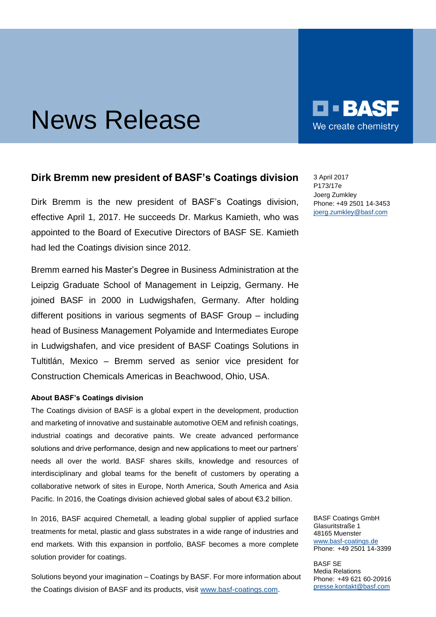## News Release

## **Dirk Bremm new president of BASF's Coatings division**

Dirk Bremm is the new president of BASF's Coatings division, effective April 1, 2017. He succeeds Dr. Markus Kamieth, who was appointed to the Board of Executive Directors of BASF SE. Kamieth had led the Coatings division since 2012.

Bremm earned his Master's Degree in Business Administration at the Leipzig Graduate School of Management in Leipzig, Germany. He joined BASF in 2000 in Ludwigshafen, Germany. After holding different positions in various segments of BASF Group – including head of Business Management Polyamide and Intermediates Europe in Ludwigshafen, and vice president of BASF Coatings Solutions in Tultitlán, Mexico – Bremm served as senior vice president for Construction Chemicals Americas in Beachwood, Ohio, USA.

## **About BASF's Coatings division**

The Coatings division of BASF is a global expert in the development, production and marketing of innovative and sustainable automotive OEM and refinish coatings, industrial coatings and decorative paints. We create advanced performance solutions and drive performance, design and new applications to meet our partners' needs all over the world. BASF shares skills, knowledge and resources of interdisciplinary and global teams for the benefit of customers by operating a collaborative network of sites in Europe, North America, South America and Asia Pacific. In 2016, the Coatings division achieved global sales of about  $\epsilon$ 3.2 billion.

In 2016, BASF acquired Chemetall, a leading global supplier of applied surface treatments for metal, plastic and glass substrates in a wide range of industries and end markets. With this expansion in portfolio, BASF becomes a more complete solution provider for coatings.

Solutions beyond your imagination – Coatings by BASF. For more information about the Coatings division of BASF and its products, visit [www.basf-coatings.com.](http://www.basf-coatings.com/)

3 April 2017 P173/17e Joerg Zumkley Phone: +49 2501 14-3453 [joerg.zumkley@basf.com](mailto:joerg.zumkley@basf.com)

BASF Coatings GmbH Glasuritstraße 1 48165 Muenster [www.basf-coatings.de](http://www.basf-coatings.de/) Phone: +49 2501 14-3399

BASF SE Media Relations Phone: +49 621 60-20916 [presse.kontakt@basf.com](mailto:presse.kontakt@basf.com)